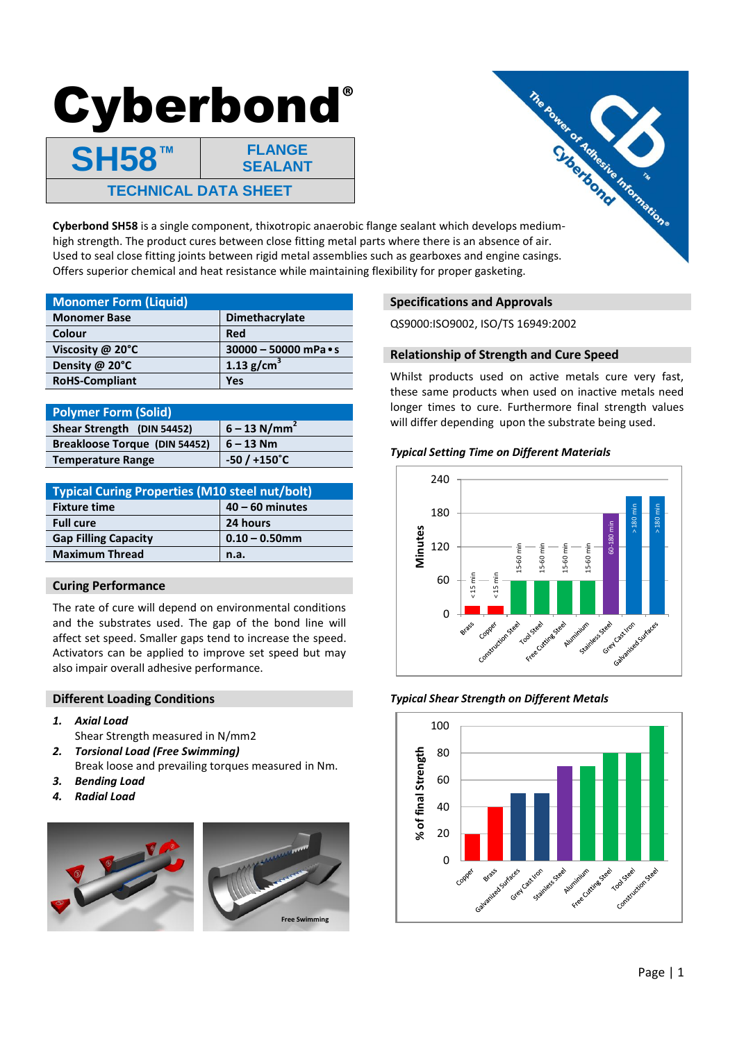# Cyberbond**®**

**SH58™ FLANGE SEALANT TECHNICAL DATA SHEET**



high strength. The product cures between close fitting metal parts where there is an absence of air. Used to seal close fitting joints between rigid metal assemblies such as gearboxes and engine casings. Offers superior chemical and heat resistance while maintaining flexibility for proper gasketing.

| <b>Monomer Form (Liquid)</b> |                             |
|------------------------------|-----------------------------|
| <b>Monomer Base</b>          | <b>Dimethacrylate</b>       |
| Colour                       | Red                         |
| Viscosity $@$ 20 $°C$        | 30000 - 50000 mPa $\cdot$ s |
| Density @ 20°C               | 1.13 $g/cm^{3}$             |
| <b>RoHS-Compliant</b>        | Yes                         |

| <b>Polymer Form (Solid)</b>   |                            |
|-------------------------------|----------------------------|
| Shear Strength (DIN 54452)    | $6 - 13$ N/mm <sup>2</sup> |
| Breakloose Torque (DIN 54452) | $6 - 13$ Nm                |
| <b>Temperature Range</b>      | $-50/+150^{\circ}C$        |

| <b>Typical Curing Properties (M10 steel nut/bolt)</b> |                   |  |
|-------------------------------------------------------|-------------------|--|
| <b>Fixture time</b>                                   | $40 - 60$ minutes |  |
| <b>Full cure</b>                                      | 24 hours          |  |
| <b>Gap Filling Capacity</b>                           | $0.10 - 0.50$ mm  |  |
| <b>Maximum Thread</b>                                 | n.a.              |  |

# **Curing Performance**

The rate of cure will depend on environmental conditions and the substrates used. The gap of the bond line will affect set speed. Smaller gaps tend to increase the speed. Activators can be applied to improve set speed but may also impair overall adhesive performance.

## **Different Loading Conditions**

- *1. Axial Load*
- Shear Strength measured in N/mm2
- *2. Torsional Load (Free Swimming)* Break loose and prevailing torques measured in Nm.
- *3. Bending Load*
- *4. Radial Load*





# **Specifications and Approvals**

QS9000:ISO9002, ISO/TS 16949:2002

# **Relationship of Strength and Cure Speed**

Whilst products used on active metals cure very fast, these same products when used on inactive metals need longer times to cure. Furthermore final strength values will differ depending upon the substrate being used.

# *Typical Setting Time on Different Materials*



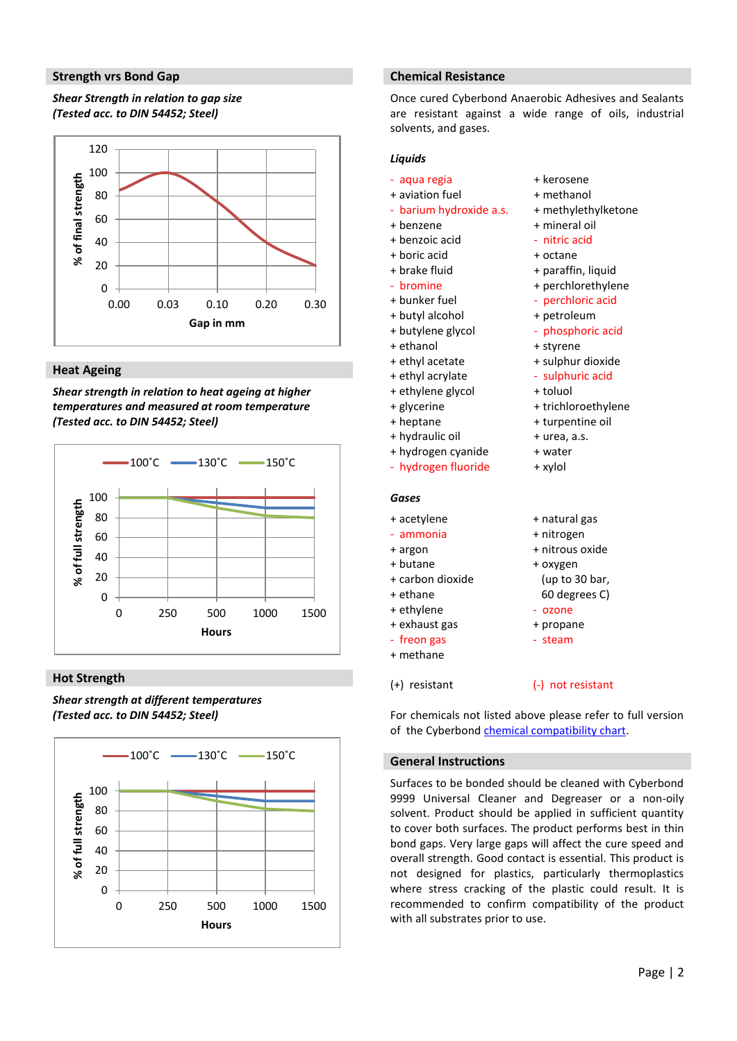#### **Strength vrs Bond Gap**

# *Shear Strength in relation to gap size (Tested acc. to DIN 54452; Steel)*



## **Heat Ageing**

*Shear strength in relation to heat ageing at higher temperatures and measured at room temperature (Tested acc. to DIN 54452; Steel)* 



#### **Hot Strength**

*Shear strength at different temperatures (Tested acc. to DIN 54452; Steel)*



#### **Chemical Resistance**

Once cured Cyberbond Anaerobic Adhesives and Sealants are resistant against a wide range of oils, industrial solvents, and gases.

> + kerosene + methanol

+ mineral oil - nitric acid + octane

+ styrene + sulphur dioxide - sulphuric acid

+ toluol

+ natural gas + nitrogen + nitrous oxide + oxygen

> (up to 30 bar, 60 degrees C)

- ozone + propane - steam

+ trichloroethylene + turpentine oil + urea, a.s. + water + xylol

+ paraffin, liquid + perchlorethylene - perchloric acid + petroleum - phosphoric acid

+ methylethylketone

#### *Liquids*

- aqua regia
- + aviation fuel
- barium hydroxide a.s.
- + benzene
- + benzoic acid
- + boric acid
- + brake fluid
- bromine
- + bunker fuel
- + butyl alcohol
- + butylene glycol
- + ethanol
- + ethyl acetate
- + ethyl acrylate
- + ethylene glycol
- + glycerine
- 
- + heptane
- + hydraulic oil
- + hydrogen cyanide
- hydrogen fluoride

## *Gases*

- + acetylene
- ammonia
- + argon
- + butane
- + carbon dioxide
- + ethane
- + ethylene
- + exhaust gas
- freon gas
- + methane

(+) resistant

#### (-) not resistant

For chemicals not listed above please refer to full version of the Cyberbond [chemical compatibility chart.](http://www.goldcoasthosting.com.au/eal.com.au/wp-content/uploads/2013/05/Chemical_Resistance_Table.pdf)

#### **General Instructions**

Surfaces to be bonded should be cleaned with Cyberbond 9999 Universal Cleaner and Degreaser or a non-oily solvent. Product should be applied in sufficient quantity to cover both surfaces. The product performs best in thin bond gaps. Very large gaps will affect the cure speed and overall strength. Good contact is essential. This product is not designed for plastics, particularly thermoplastics where stress cracking of the plastic could result. It is recommended to confirm compatibility of the product with all substrates prior to use.